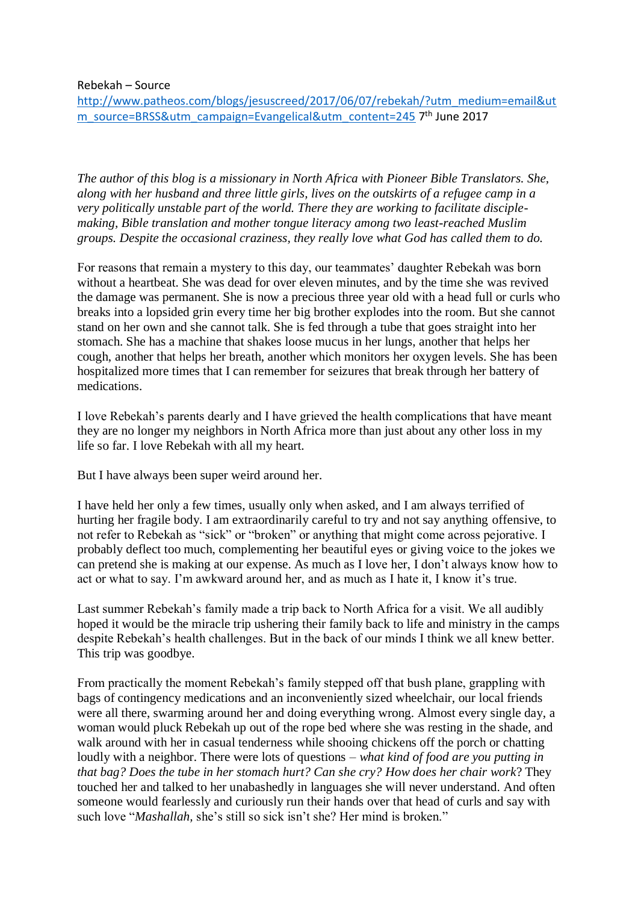Rebekah – Source

[http://www.patheos.com/blogs/jesuscreed/2017/06/07/rebekah/?utm\\_medium=email&ut](http://www.patheos.com/blogs/jesuscreed/2017/06/07/rebekah/?utm_medium=email&utm_source=BRSS&utm_campaign=Evangelical&utm_content=245) [m\\_source=BRSS&utm\\_campaign=Evangelical&utm\\_content=245](http://www.patheos.com/blogs/jesuscreed/2017/06/07/rebekah/?utm_medium=email&utm_source=BRSS&utm_campaign=Evangelical&utm_content=245) 7<sup>th</sup> June 2017

*The author of this blog is a missionary in North Africa with Pioneer Bible Translators. She, along with her husband and three little girls, lives on the outskirts of a refugee camp in a very politically unstable part of the world. There they are working to facilitate disciplemaking, Bible translation and mother tongue literacy among two least-reached Muslim groups. Despite the occasional craziness, they really love what God has called them to do.*

For reasons that remain a mystery to this day, our teammates' daughter Rebekah was born without a heartbeat. She was dead for over eleven minutes, and by the time she was revived the damage was permanent. She is now a precious three year old with a head full or curls who breaks into a lopsided grin every time her big brother explodes into the room. But she cannot stand on her own and she cannot talk. She is fed through a tube that goes straight into her stomach. She has a machine that shakes loose mucus in her lungs, another that helps her cough, another that helps her breath, another which monitors her oxygen levels. She has been hospitalized more times that I can remember for seizures that break through her battery of medications.

I love Rebekah's parents dearly and I have grieved the health complications that have meant they are no longer my neighbors in North Africa more than just about any other loss in my life so far. I love Rebekah with all my heart.

But I have always been super weird around her.

I have held her only a few times, usually only when asked, and I am always terrified of hurting her fragile body. I am extraordinarily careful to try and not say anything offensive, to not refer to Rebekah as "sick" or "broken" or anything that might come across pejorative. I probably deflect too much, complementing her beautiful eyes or giving voice to the jokes we can pretend she is making at our expense. As much as I love her, I don't always know how to act or what to say. I'm awkward around her, and as much as I hate it, I know it's true.

Last summer Rebekah's family made a trip back to North Africa for a visit. We all audibly hoped it would be the miracle trip ushering their family back to life and ministry in the camps despite Rebekah's health challenges. But in the back of our minds I think we all knew better. This trip was goodbye.

From practically the moment Rebekah's family stepped off that bush plane, grappling with bags of contingency medications and an inconveniently sized wheelchair, our local friends were all there, swarming around her and doing everything wrong. Almost every single day, a woman would pluck Rebekah up out of the rope bed where she was resting in the shade, and walk around with her in casual tenderness while shooing chickens off the porch or chatting loudly with a neighbor. There were lots of questions – *what kind of food are you putting in that bag? Does the tube in her stomach hurt? Can she cry? How does her chair work*? They touched her and talked to her unabashedly in languages she will never understand. And often someone would fearlessly and curiously run their hands over that head of curls and say with such love "*Mashallah,* she's still so sick isn't she? Her mind is broken."